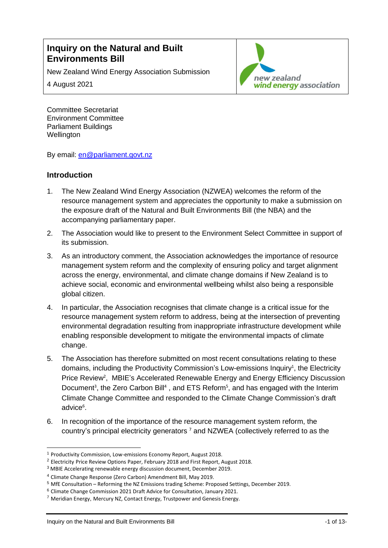# **Inquiry on the Natural and Built Environments Bill**

New Zealand Wind Energy Association Submission

4 August 2021



Committee Secretariat Environment Committee Parliament Buildings **Wellington** 

By email: [en@parliament.govt.nz](mailto:en@parliament.govt.nz)

### **Introduction**

- 1. The New Zealand Wind Energy Association (NZWEA) welcomes the reform of the resource management system and appreciates the opportunity to make a submission on the exposure draft of the Natural and Built Environments Bill (the NBA) and the accompanying parliamentary paper.
- 2. The Association would like to present to the Environment Select Committee in support of its submission.
- 3. As an introductory comment, the Association acknowledges the importance of resource management system reform and the complexity of ensuring policy and target alignment across the energy, environmental, and climate change domains if New Zealand is to achieve social, economic and environmental wellbeing whilst also being a responsible global citizen.
- 4. In particular, the Association recognises that climate change is a critical issue for the resource management system reform to address, being at the intersection of preventing environmental degradation resulting from inappropriate infrastructure development while enabling responsible development to mitigate the environmental impacts of climate change.
- 5. The Association has therefore submitted on most recent consultations relating to these domains, including the Productivity Commission's Low-emissions Inquiry<sup>1</sup>, the Electricity Price Review<sup>2</sup>, MBIE's Accelerated Renewable Energy and Energy Efficiency Discussion Document<sup>3</sup>, the Zero Carbon Bill<sup>4</sup>, and ETS Reform<sup>5</sup>, and has engaged with the Interim Climate Change Committee and responded to the Climate Change Commission's draft advice<sup>6</sup>.
- 6. In recognition of the importance of the resource management system reform, the country's principal electricity generators<sup>7</sup> and NZWEA (collectively referred to as the

<sup>1</sup> Productivity Commission, Low-emissions Economy Report, August 2018.

<sup>2</sup> Electricity Price Review Options Paper, February 2018 and First Report, August 2018.

<sup>3</sup> MBIE Accelerating renewable energy discussion document, December 2019.

<sup>4</sup> Climate Change Response (Zero Carbon) Amendment Bill, May 2019.

<sup>5</sup> MfE Consultation – Reforming the NZ Emissions trading Scheme: Proposed Settings, December 2019.

<sup>6</sup> Climate Change Commission 2021 Draft Advice for Consultation, January 2021.

<sup>7</sup> Meridian Energy, Mercury NZ, Contact Energy, Trustpower and Genesis Energy.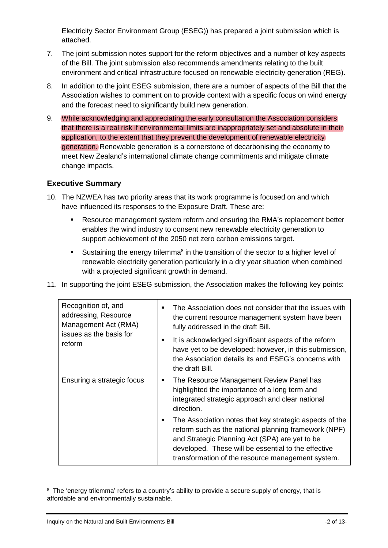Electricity Sector Environment Group (ESEG)) has prepared a joint submission which is attached.

- 7. The joint submission notes support for the reform objectives and a number of key aspects of the Bill. The joint submission also recommends amendments relating to the built environment and critical infrastructure focused on renewable electricity generation (REG).
- 8. In addition to the joint ESEG submission, there are a number of aspects of the Bill that the Association wishes to comment on to provide context with a specific focus on wind energy and the forecast need to significantly build new generation.
- 9. While acknowledging and appreciating the early consultation the Association considers that there is a real risk if environmental limits are inappropriately set and absolute in their application, to the extent that they prevent the development of renewable electricity generation. Renewable generation is a cornerstone of decarbonising the economy to meet New Zealand's international climate change commitments and mitigate climate change impacts.

### **Executive Summary**

- 10. The NZWEA has two priority areas that its work programme is focused on and which have influenced its responses to the Exposure Draft. These are:
	- Resource management system reform and ensuring the RMA's replacement better enables the wind industry to consent new renewable electricity generation to support achievement of the 2050 net zero carbon emissions target.
	- **EXE** Sustaining the energy trilemma<sup>8</sup> in the transition of the sector to a higher level of renewable electricity generation particularly in a dry year situation when combined with a projected significant growth in demand.
- 11. In supporting the joint ESEG submission, the Association makes the following key points:

| Recognition of, and<br>addressing, Resource<br>Management Act (RMA)<br>issues as the basis for<br>reform | The Association does not consider that the issues with<br>the current resource management system have been<br>fully addressed in the draft Bill.<br>It is acknowledged significant aspects of the reform<br>have yet to be developed: however, in this submission,<br>the Association details its and ESEG's concerns with<br>the draft Bill. |
|----------------------------------------------------------------------------------------------------------|-----------------------------------------------------------------------------------------------------------------------------------------------------------------------------------------------------------------------------------------------------------------------------------------------------------------------------------------------|
| Ensuring a strategic focus                                                                               | The Resource Management Review Panel has<br>highlighted the importance of a long term and<br>integrated strategic approach and clear national<br>direction.                                                                                                                                                                                   |
|                                                                                                          | The Association notes that key strategic aspects of the<br>reform such as the national planning framework (NPF)<br>and Strategic Planning Act (SPA) are yet to be<br>developed. These will be essential to the effective<br>transformation of the resource management system.                                                                 |

<sup>&</sup>lt;sup>8</sup> The 'energy trilemma' refers to a country's ability to provide a secure supply of energy, that is affordable and environmentally sustainable.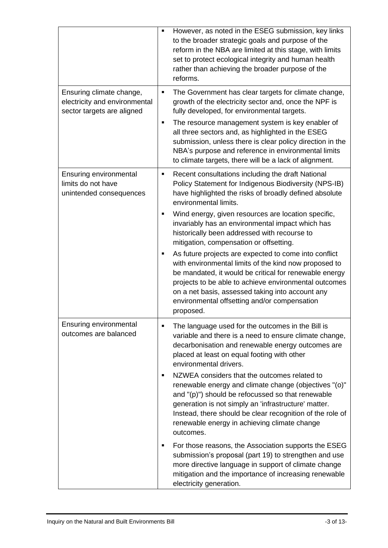|                                                                                         | However, as noted in the ESEG submission, key links<br>$\blacksquare$<br>to the broader strategic goals and purpose of the<br>reform in the NBA are limited at this stage, with limits<br>set to protect ecological integrity and human health<br>rather than achieving the broader purpose of the<br>reforms.                                                                                                                                                                                                                                                                                                                                                                                                                                                                                                                                         |
|-----------------------------------------------------------------------------------------|--------------------------------------------------------------------------------------------------------------------------------------------------------------------------------------------------------------------------------------------------------------------------------------------------------------------------------------------------------------------------------------------------------------------------------------------------------------------------------------------------------------------------------------------------------------------------------------------------------------------------------------------------------------------------------------------------------------------------------------------------------------------------------------------------------------------------------------------------------|
| Ensuring climate change,<br>electricity and environmental<br>sector targets are aligned | The Government has clear targets for climate change,<br>п<br>growth of the electricity sector and, once the NPF is<br>fully developed, for environmental targets.<br>The resource management system is key enabler of<br>٠<br>all three sectors and, as highlighted in the ESEG<br>submission, unless there is clear policy direction in the<br>NBA's purpose and reference in environmental limits<br>to climate targets, there will be a lack of alignment.                                                                                                                                                                                                                                                                                                                                                                                          |
| Ensuring environmental<br>limits do not have<br>unintended consequences                 | Recent consultations including the draft National<br>٠<br>Policy Statement for Indigenous Biodiversity (NPS-IB)<br>have highlighted the risks of broadly defined absolute<br>environmental limits.<br>Wind energy, given resources are location specific,<br>invariably has an environmental impact which has<br>historically been addressed with recourse to<br>mitigation, compensation or offsetting.<br>As future projects are expected to come into conflict<br>with environmental limits of the kind now proposed to<br>be mandated, it would be critical for renewable energy<br>projects to be able to achieve environmental outcomes<br>on a net basis, assessed taking into account any<br>environmental offsetting and/or compensation<br>proposed.                                                                                         |
| Ensuring environmental<br>outcomes are balanced                                         | The language used for the outcomes in the Bill is<br>variable and there is a need to ensure climate change,<br>decarbonisation and renewable energy outcomes are<br>placed at least on equal footing with other<br>environmental drivers.<br>NZWEA considers that the outcomes related to<br>renewable energy and climate change (objectives "(o)"<br>and "(p)") should be refocussed so that renewable<br>generation is not simply an 'infrastructure' matter.<br>Instead, there should be clear recognition of the role of<br>renewable energy in achieving climate change<br>outcomes.<br>For those reasons, the Association supports the ESEG<br>submission's proposal (part 19) to strengthen and use<br>more directive language in support of climate change<br>mitigation and the importance of increasing renewable<br>electricity generation. |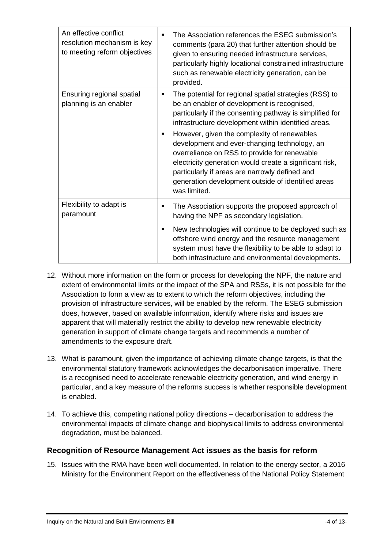| An effective conflict<br>resolution mechanism is key<br>to meeting reform objectives | The Association references the ESEG submission's<br>$\blacksquare$<br>comments (para 20) that further attention should be<br>given to ensuring needed infrastructure services,<br>particularly highly locational constrained infrastructure<br>such as renewable electricity generation, can be<br>provided.                                     |
|--------------------------------------------------------------------------------------|--------------------------------------------------------------------------------------------------------------------------------------------------------------------------------------------------------------------------------------------------------------------------------------------------------------------------------------------------|
| Ensuring regional spatial<br>planning is an enabler                                  | The potential for regional spatial strategies (RSS) to<br>п<br>be an enabler of development is recognised,<br>particularly if the consenting pathway is simplified for<br>infrastructure development within identified areas.                                                                                                                    |
|                                                                                      | However, given the complexity of renewables<br>$\blacksquare$<br>development and ever-changing technology, an<br>overreliance on RSS to provide for renewable<br>electricity generation would create a significant risk,<br>particularly if areas are narrowly defined and<br>generation development outside of identified areas<br>was limited. |
| Flexibility to adapt is<br>paramount                                                 | The Association supports the proposed approach of<br>п<br>having the NPF as secondary legislation.                                                                                                                                                                                                                                               |
|                                                                                      | New technologies will continue to be deployed such as<br>$\blacksquare$<br>offshore wind energy and the resource management<br>system must have the flexibility to be able to adapt to<br>both infrastructure and environmental developments.                                                                                                    |

- 12. Without more information on the form or process for developing the NPF, the nature and extent of environmental limits or the impact of the SPA and RSSs, it is not possible for the Association to form a view as to extent to which the reform objectives, including the provision of infrastructure services, will be enabled by the reform. The ESEG submission does, however, based on available information, identify where risks and issues are apparent that will materially restrict the ability to develop new renewable electricity generation in support of climate change targets and recommends a number of amendments to the exposure draft.
- 13. What is paramount, given the importance of achieving climate change targets, is that the environmental statutory framework acknowledges the decarbonisation imperative. There is a recognised need to accelerate renewable electricity generation, and wind energy in particular, and a key measure of the reforms success is whether responsible development is enabled.
- 14. To achieve this, competing national policy directions decarbonisation to address the environmental impacts of climate change and biophysical limits to address environmental degradation, must be balanced.

# **Recognition of Resource Management Act issues as the basis for reform**

15. Issues with the RMA have been well documented. In relation to the energy sector, a 2016 Ministry for the Environment Report on the effectiveness of the National Policy Statement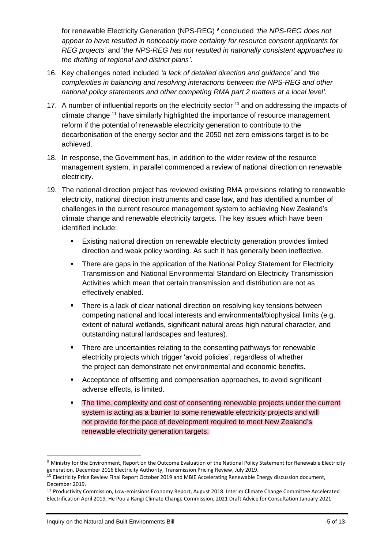for renewable Electricity Generation (NPS-REG) <sup>9</sup> concluded *'the NPS-REG does not appear to have resulted in noticeably more certainty for resource consent applicants for REG projects'* and '*the NPS-REG has not resulted in nationally consistent approaches to the drafting of regional and district plans'*.

- 16. Key challenges noted included *'a lack of detailed direction and guidance'* and *'the complexities in balancing and resolving interactions between the NPS-REG and other national policy statements and other competing RMA part 2 matters at a local level'.*
- 17. A number of influential reports on the electricity sector  $10$  and on addressing the impacts of climate change <sup>11</sup> have similarly highlighted the importance of resource management reform if the potential of renewable electricity generation to contribute to the decarbonisation of the energy sector and the 2050 net zero emissions target is to be achieved.
- 18. In response, the Government has, in addition to the wider review of the resource management system, in parallel commenced a review of national direction on renewable electricity.
- 19. The national direction project has reviewed existing RMA provisions relating to renewable electricity, national direction instruments and case law, and has identified a number of challenges in the current resource management system to achieving New Zealand's climate change and renewable electricity targets. The key issues which have been identified include:
	- Existing national direction on renewable electricity generation provides limited direction and weak policy wording. As such it has generally been ineffective.
	- There are gaps in the application of the National Policy Statement for Electricity Transmission and National Environmental Standard on Electricity Transmission Activities which mean that certain transmission and distribution are not as effectively enabled.
	- **•** There is a lack of clear national direction on resolving key tensions between competing national and local interests and environmental/biophysical limits (e.g. extent of natural wetlands, significant natural areas high natural character, and outstanding natural landscapes and features).
	- There are uncertainties relating to the consenting pathways for renewable electricity projects which trigger 'avoid policies', regardless of whether the project can demonstrate net environmental and economic benefits.
	- Acceptance of offsetting and compensation approaches, to avoid significant adverse effects, is limited.
	- The time, complexity and cost of consenting renewable projects under the current system is acting as a barrier to some renewable electricity projects and will not provide for the pace of development required to meet New Zealand's renewable electricity generation targets.

<sup>9</sup> Ministry for the Environment, Report on the Outcome Evaluation of the National Policy Statement for Renewable Electricity generation, December 2016 Electricity Authority, Transmission Pricing Review, July 2019.

<sup>&</sup>lt;sup>10</sup> Electricity Price Review Final Report October 2019 and MBIE Accelerating Renewable Energy discussion document, December 2019.

<sup>11</sup> Productivity Commission, Low-emissions Economy Report, August 2018. Interim Climate Change Committee Accelerated Electrification April 2019, He Pou a Rangi Climate Change Commission, 2021 Draft Advice for Consultation January 2021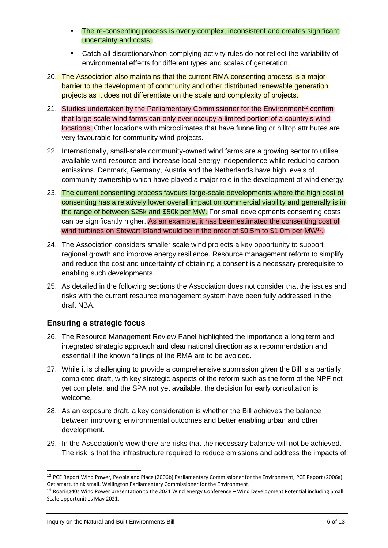- **The re-consenting process is overly complex, inconsistent and creates significant** uncertainty and costs.
- Catch-all discretionary/non-complying activity rules do not reflect the variability of environmental effects for different types and scales of generation.
- 20. The Association also maintains that the current RMA consenting process is a major barrier to the development of community and other distributed renewable generation projects as it does not differentiate on the scale and complexity of projects.
- 21. Studies undertaken by the Parliamentary Commissioner for the Environment<sup>12</sup> confirm that large scale wind farms can only ever occupy a limited portion of a country's wind locations. Other locations with microclimates that have funnelling or hilltop attributes are very favourable for community wind projects.
- 22. Internationally, small-scale community-owned wind farms are a growing sector to utilise available wind resource and increase local energy independence while reducing carbon emissions. Denmark, Germany, Austria and the Netherlands have high levels of community ownership which have played a major role in the development of wind energy.
- 23. The current consenting process favours large-scale developments where the high cost of consenting has a relatively lower overall impact on commercial viability and generally is in the range of between \$25k and \$50k per MW. For small developments consenting costs can be significantly higher. As an example, it has been estimated the consenting cost of wind turbines on Stewart Island would be in the order of \$0.5m to \$1.0m per MW<sup>13</sup>.
- 24. The Association considers smaller scale wind projects a key opportunity to support regional growth and improve energy resilience. Resource management reform to simplify and reduce the cost and uncertainty of obtaining a consent is a necessary prerequisite to enabling such developments.
- 25. As detailed in the following sections the Association does not consider that the issues and risks with the current resource management system have been fully addressed in the draft NBA.

# **Ensuring a strategic focus**

- 26. The Resource Management Review Panel highlighted the importance a long term and integrated strategic approach and clear national direction as a recommendation and essential if the known failings of the RMA are to be avoided.
- 27. While it is challenging to provide a comprehensive submission given the Bill is a partially completed draft, with key strategic aspects of the reform such as the form of the NPF not yet complete, and the SPA not yet available, the decision for early consultation is welcome.
- 28. As an exposure draft, a key consideration is whether the Bill achieves the balance between improving environmental outcomes and better enabling urban and other development.
- 29. In the Association's view there are risks that the necessary balance will not be achieved. The risk is that the infrastructure required to reduce emissions and address the impacts of

<sup>&</sup>lt;sup>12</sup> PCE Report Wind Power, People and Place (2006b) Parliamentary Commissioner for the Environment, PCE Report (2006a) Get smart, think small. Wellington Parliamentary Commissioner for the Environment.

<sup>13</sup> Roaring40s Wind Power presentation to the 2021 Wind energy Conference – Wind Development Potential including Small Scale opportunities May 2021.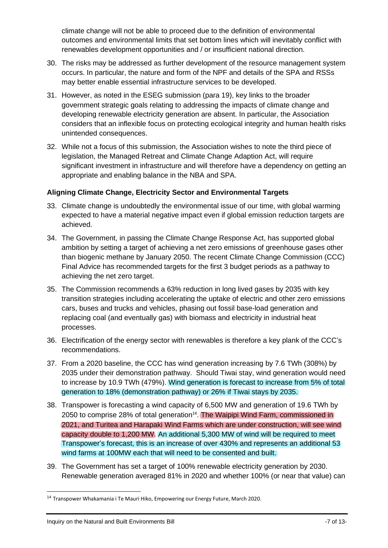climate change will not be able to proceed due to the definition of environmental outcomes and environmental limits that set bottom lines which will inevitably conflict with renewables development opportunities and / or insufficient national direction.

- 30. The risks may be addressed as further development of the resource management system occurs. In particular, the nature and form of the NPF and details of the SPA and RSSs may better enable essential infrastructure services to be developed.
- 31. However, as noted in the ESEG submission (para 19), key links to the broader government strategic goals relating to addressing the impacts of climate change and developing renewable electricity generation are absent. In particular, the Association considers that an inflexible focus on protecting ecological integrity and human health risks unintended consequences.
- 32. While not a focus of this submission, the Association wishes to note the third piece of legislation, the Managed Retreat and Climate Change Adaption Act, will require significant investment in infrastructure and will therefore have a dependency on getting an appropriate and enabling balance in the NBA and SPA.

#### **Aligning Climate Change, Electricity Sector and Environmental Targets**

- 33. Climate change is undoubtedly the environmental issue of our time, with global warming expected to have a material negative impact even if global emission reduction targets are achieved.
- 34. The Government, in passing the Climate Change Response Act, has supported global ambition by setting a target of achieving a net zero emissions of greenhouse gases other than biogenic methane by January 2050. The recent Climate Change Commission (CCC) Final Advice has recommended targets for the first 3 budget periods as a pathway to achieving the net zero target.
- 35. The Commission recommends a 63% reduction in long lived gases by 2035 with key transition strategies including accelerating the uptake of electric and other zero emissions cars, buses and trucks and vehicles, phasing out fossil base-load generation and replacing coal (and eventually gas) with biomass and electricity in industrial heat processes.
- 36. Electrification of the energy sector with renewables is therefore a key plank of the CCC's recommendations.
- 37. From a 2020 baseline, the CCC has wind generation increasing by 7.6 TWh (308%) by 2035 under their demonstration pathway. Should Tiwai stay, wind generation would need to increase by 10.9 TWh (479%). Wind generation is forecast to increase from 5% of total generation to 18% (demonstration pathway) or 26% if Tiwai stays by 2035.
- 38. Transpower is forecasting a wind capacity of 6,500 MW and generation of 19.6 TWh by 2050 to comprise 28% of total generation<sup>14</sup>. The Waipipi Wind Farm, commissioned in 2021, and Turitea and Harapaki Wind Farms which are under construction, will see wind capacity double to 1,200 MW. An additional 5,300 MW of wind will be required to meet Transpower's forecast, this is an increase of over 430% and represents an additional 53 wind farms at 100MW each that will need to be consented and built.
- 39. The Government has set a target of 100% renewable electricity generation by 2030. Renewable generation averaged 81% in 2020 and whether 100% (or near that value) can

<sup>14</sup> Transpower Whakamania i Te Mauri Hiko, Empowering our Energy Future, March 2020.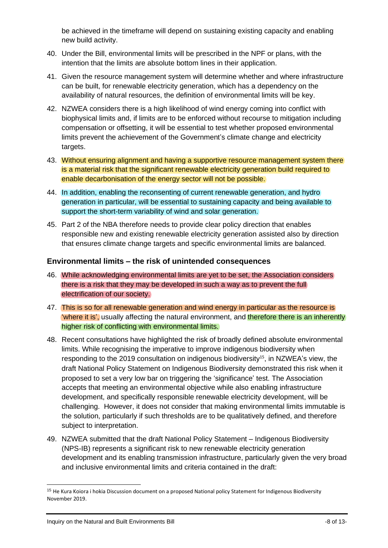be achieved in the timeframe will depend on sustaining existing capacity and enabling new build activity.

- 40. Under the Bill, environmental limits will be prescribed in the NPF or plans, with the intention that the limits are absolute bottom lines in their application.
- 41. Given the resource management system will determine whether and where infrastructure can be built, for renewable electricity generation, which has a dependency on the availability of natural resources, the definition of environmental limits will be key.
- 42. NZWEA considers there is a high likelihood of wind energy coming into conflict with biophysical limits and, if limits are to be enforced without recourse to mitigation including compensation or offsetting, it will be essential to test whether proposed environmental limits prevent the achievement of the Government's climate change and electricity targets.
- 43. Without ensuring alignment and having a supportive resource management system there is a material risk that the significant renewable electricity generation build required to enable decarbonisation of the energy sector will not be possible.
- 44. In addition, enabling the reconsenting of current renewable generation, and hydro generation in particular, will be essential to sustaining capacity and being available to support the short-term variability of wind and solar generation.
- 45. Part 2 of the NBA therefore needs to provide clear policy direction that enables responsible new and existing renewable electricity generation assisted also by direction that ensures climate change targets and specific environmental limits are balanced.

### **Environmental limits – the risk of unintended consequences**

- 46. While acknowledging environmental limits are yet to be set, the Association considers there is a risk that they may be developed in such a way as to prevent the full electrification of our society.
- 47. This is so for all renewable generation and wind energy in particular as the resource is 'where it is', usually affecting the natural environment, and therefore there is an inherently higher risk of conflicting with environmental limits.
- 48. Recent consultations have highlighted the risk of broadly defined absolute environmental limits. While recognising the imperative to improve indigenous biodiversity when responding to the 2019 consultation on indigenous biodiversity<sup>15</sup>, in NZWEA's view, the draft National Policy Statement on Indigenous Biodiversity demonstrated this risk when it proposed to set a very low bar on triggering the 'significance' test. The Association accepts that meeting an environmental objective while also enabling infrastructure development, and specifically responsible renewable electricity development, will be challenging. However, it does not consider that making environmental limits immutable is the solution, particularly if such thresholds are to be qualitatively defined, and therefore subject to interpretation.
- 49. NZWEA submitted that the draft National Policy Statement Indigenous Biodiversity (NPS-IB) represents a significant risk to new renewable electricity generation development and its enabling transmission infrastructure, particularly given the very broad and inclusive environmental limits and criteria contained in the draft:

<sup>&</sup>lt;sup>15</sup> He Kura Koiora i hokia Discussion document on a proposed National policy Statement for Indigenous Biodiversity November 2019.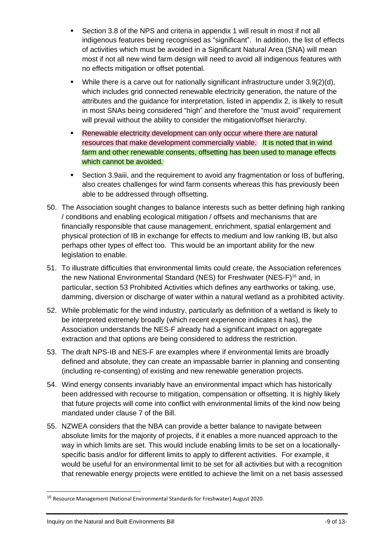- Section 3.8 of the NPS and criteria in appendix 1 will result in most if not all indigenous features being recognised as "significant". In addition, the list of effects of activities which must be avoided in a Significant Natural Area (SNA) will mean most if not all new wind farm design will need to avoid all indigenous features with no effects mitigation or offset potential.
- While there is a carve out for nationally significant infrastructure under  $3.9(2)(d)$ , which includes grid connected renewable electricity generation, the nature of the attributes and the guidance for interpretation, listed in appendix 2, is likely to result in most SNAs being considered "high" and therefore the "must avoid" requirement will prevail without the ability to consider the mitigation/offset hierarchy.
- Renewable electricity development can only occur where there are natural resources that make development commercially viable. It is noted that in wind farm and other renewable consents, offsetting has been used to manage effects which cannot be avoided.
- Section 3.9aiii, and the requirement to avoid any fragmentation or loss of buffering, also creates challenges for wind farm consents whereas this has previously been able to be addressed through offsetting.
- 50. The Association sought changes to balance interests such as better defining high ranking / conditions and enabling ecological mitigation / offsets and mechanisms that are financially responsible that cause management, enrichment, spatial enlargement and physical protection of IB in exchange for effects to medium and low ranking IB, but also perhaps other types of effect too. This would be an important ability for the new legislation to enable.
- 51. To illustrate difficulties that environmental limits could create, the Association references the new National Environmental Standard (NES) for Freshwater (NES-F)<sup>16</sup> and, in particular, section 53 Prohibited Activities which defines any earthworks or taking, use, damming, diversion or discharge of water within a natural wetland as a prohibited activity.
- 52. While problematic for the wind industry, particularly as definition of a wetland is likely to be interpreted extremely broadly (which recent experience indicates it has), the Association understands the NES-F already had a significant impact on aggregate extraction and that options are being considered to address the restriction.
- 53. The draft NPS-IB and NES-F are examples where if environmental limits are broadly defined and absolute, they can create an impassable barrier in planning and consenting (including re-consenting) of existing and new renewable generation projects.
- 54. Wind energy consents invariably have an environmental impact which has historically been addressed with recourse to mitigation, compensation or offsetting. It is highly likely that future projects will come into conflict with environmental limits of the kind now being mandated under clause 7 of the Bill.
- 55. NZWEA considers that the NBA can provide a better balance to navigate between absolute limits for the majority of projects, if it enables a more nuanced approach to the way in which limits are set. This would include enabling limits to be set on a locationallyspecific basis and/or for different limits to apply to different activities. For example, it would be useful for an environmental limit to be set for all activities but with a recognition that renewable energy projects were entitled to achieve the limit on a net basis assessed

<sup>16</sup> Resource Management (National Environmental Standards for Freshwater) August 2020.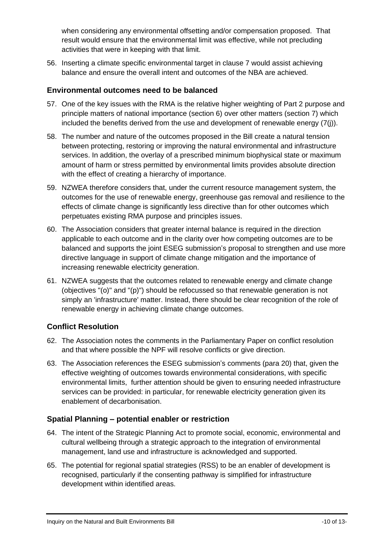when considering any environmental offsetting and/or compensation proposed. That result would ensure that the environmental limit was effective, while not precluding activities that were in keeping with that limit.

56. Inserting a climate specific environmental target in clause 7 would assist achieving balance and ensure the overall intent and outcomes of the NBA are achieved.

# **Environmental outcomes need to be balanced**

- 57. One of the key issues with the RMA is the relative higher weighting of Part 2 purpose and principle matters of national importance (section 6) over other matters (section 7) which included the benefits derived from the use and development of renewable energy (7(j)).
- 58. The number and nature of the outcomes proposed in the Bill create a natural tension between protecting, restoring or improving the natural environmental and infrastructure services. In addition, the overlay of a prescribed minimum biophysical state or maximum amount of harm or stress permitted by environmental limits provides absolute direction with the effect of creating a hierarchy of importance.
- 59. NZWEA therefore considers that, under the current resource management system, the outcomes for the use of renewable energy, greenhouse gas removal and resilience to the effects of climate change is significantly less directive than for other outcomes which perpetuates existing RMA purpose and principles issues.
- 60. The Association considers that greater internal balance is required in the direction applicable to each outcome and in the clarity over how competing outcomes are to be balanced and supports the joint ESEG submission's proposal to strengthen and use more directive language in support of climate change mitigation and the importance of increasing renewable electricity generation.
- 61. NZWEA suggests that the outcomes related to renewable energy and climate change (objectives "(o)" and "(p)") should be refocussed so that renewable generation is not simply an 'infrastructure' matter. Instead, there should be clear recognition of the role of renewable energy in achieving climate change outcomes.

# **Conflict Resolution**

- 62. The Association notes the comments in the Parliamentary Paper on conflict resolution and that where possible the NPF will resolve conflicts or give direction.
- 63. The Association references the ESEG submission's comments (para 20) that, given the effective weighting of outcomes towards environmental considerations, with specific environmental limits, further attention should be given to ensuring needed infrastructure services can be provided: in particular, for renewable electricity generation given its enablement of decarbonisation.

# **Spatial Planning – potential enabler or restriction**

- 64. The intent of the Strategic Planning Act to promote social, economic, environmental and cultural wellbeing through a strategic approach to the integration of environmental management, land use and infrastructure is acknowledged and supported.
- 65. The potential for regional spatial strategies (RSS) to be an enabler of development is recognised, particularly if the consenting pathway is simplified for infrastructure development within identified areas.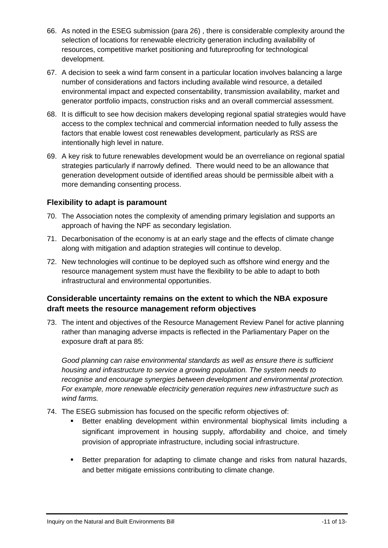- 66. As noted in the ESEG submission (para 26) , there is considerable complexity around the selection of locations for renewable electricity generation including availability of resources, competitive market positioning and futureproofing for technological development.
- 67. A decision to seek a wind farm consent in a particular location involves balancing a large number of considerations and factors including available wind resource, a detailed environmental impact and expected consentability, transmission availability, market and generator portfolio impacts, construction risks and an overall commercial assessment.
- 68. It is difficult to see how decision makers developing regional spatial strategies would have access to the complex technical and commercial information needed to fully assess the factors that enable lowest cost renewables development, particularly as RSS are intentionally high level in nature.
- 69. A key risk to future renewables development would be an overreliance on regional spatial strategies particularly if narrowly defined. There would need to be an allowance that generation development outside of identified areas should be permissible albeit with a more demanding consenting process.

### **Flexibility to adapt is paramount**

- 70. The Association notes the complexity of amending primary legislation and supports an approach of having the NPF as secondary legislation.
- 71. Decarbonisation of the economy is at an early stage and the effects of climate change along with mitigation and adaption strategies will continue to develop.
- 72. New technologies will continue to be deployed such as offshore wind energy and the resource management system must have the flexibility to be able to adapt to both infrastructural and environmental opportunities.

# **Considerable uncertainty remains on the extent to which the NBA exposure draft meets the resource management reform objectives**

73. The intent and objectives of the Resource Management Review Panel for active planning rather than managing adverse impacts is reflected in the Parliamentary Paper on the exposure draft at para 85:

*Good planning can raise environmental standards as well as ensure there is sufficient housing and infrastructure to service a growing population. The system needs to recognise and encourage synergies between development and environmental protection. For example, more renewable electricity generation requires new infrastructure such as wind farms.*

- 74. The ESEG submission has focused on the specific reform objectives of:
	- Better enabling development within environmental biophysical limits including a significant improvement in housing supply, affordability and choice, and timely provision of appropriate infrastructure, including social infrastructure.
	- **EXECT** Better preparation for adapting to climate change and risks from natural hazards, and better mitigate emissions contributing to climate change.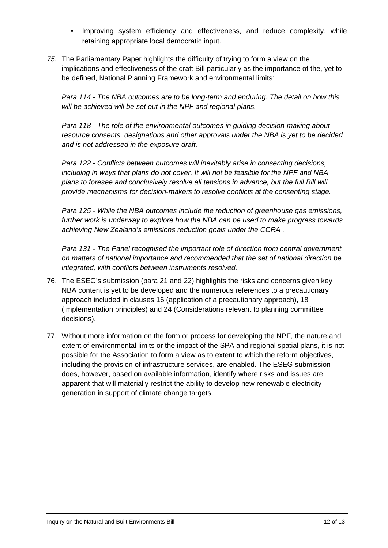- Improving system efficiency and effectiveness, and reduce complexity, while retaining appropriate local democratic input.
- *75.* The Parliamentary Paper highlights the difficulty of trying to form a view on the implications and effectiveness of the draft Bill particularly as the importance of the, yet to be defined, National Planning Framework and environmental limits:

*Para 114 - The NBA outcomes are to be long-term and enduring. The detail on how this will be achieved will be set out in the NPF and regional plans.*

*Para 118 - The role of the environmental outcomes in guiding decision-making about resource consents, designations and other approvals under the NBA is yet to be decided and is not addressed in the exposure draft.*

*Para 122 - Conflicts between outcomes will inevitably arise in consenting decisions, including in ways that plans do not cover. It will not be feasible for the NPF and NBA plans to foresee and conclusively resolve all tensions in advance, but the full Bill will provide mechanisms for decision-makers to resolve conflicts at the consenting stage.*

*Para 125 - While the NBA outcomes include the reduction of greenhouse gas emissions, further work is underway to explore how the NBA can be used to make progress towards achieving New Zealand's emissions reduction goals under the CCRA .*

*Para 131 - The Panel recognised the important role of direction from central government on matters of national importance and recommended that the set of national direction be integrated, with conflicts between instruments resolved.*

- 76. The ESEG's submission (para 21 and 22) highlights the risks and concerns given key NBA content is yet to be developed and the numerous references to a precautionary approach included in clauses 16 (application of a precautionary approach), 18 (Implementation principles) and 24 (Considerations relevant to planning committee decisions).
- 77. Without more information on the form or process for developing the NPF, the nature and extent of environmental limits or the impact of the SPA and regional spatial plans, it is not possible for the Association to form a view as to extent to which the reform objectives, including the provision of infrastructure services, are enabled. The ESEG submission does, however, based on available information, identify where risks and issues are apparent that will materially restrict the ability to develop new renewable electricity generation in support of climate change targets.